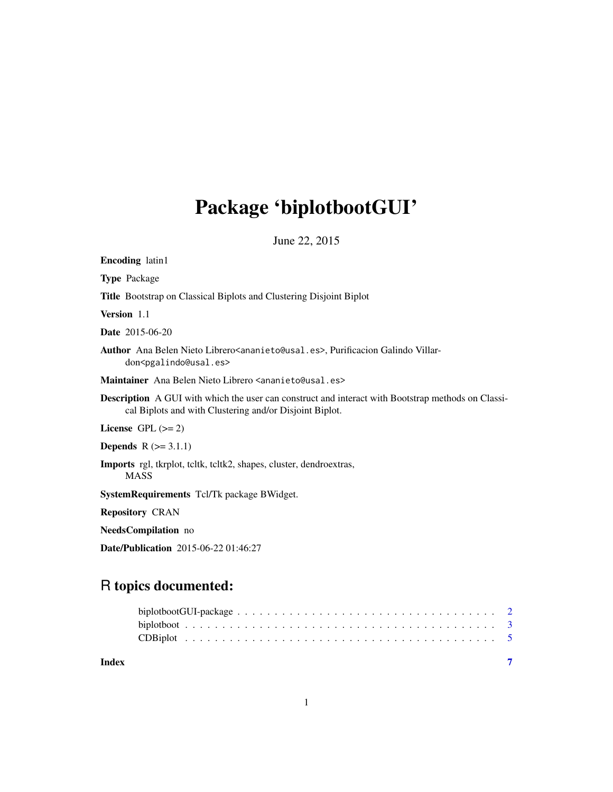## Package 'biplotbootGUI'

June 22, 2015

Encoding latin1

Type Package

Title Bootstrap on Classical Biplots and Clustering Disjoint Biplot

Version 1.1

Date 2015-06-20

Author Ana Belen Nieto Librero<ananieto@usal.es>, Purificacion Galindo Villardon<pgalindo@usal.es>

Maintainer Ana Belen Nieto Librero <ananieto@usal.es>

Description A GUI with which the user can construct and interact with Bootstrap methods on Classical Biplots and with Clustering and/or Disjoint Biplot.

License GPL  $(>= 2)$ 

**Depends**  $R$  ( $>= 3.1.1$ )

Imports rgl, tkrplot, tcltk, tcltk2, shapes, cluster, dendroextras, MASS

SystemRequirements Tcl/Tk package BWidget.

Repository CRAN

NeedsCompilation no

Date/Publication 2015-06-22 01:46:27

### R topics documented:

| Index |  |
|-------|--|
|       |  |
|       |  |
|       |  |

1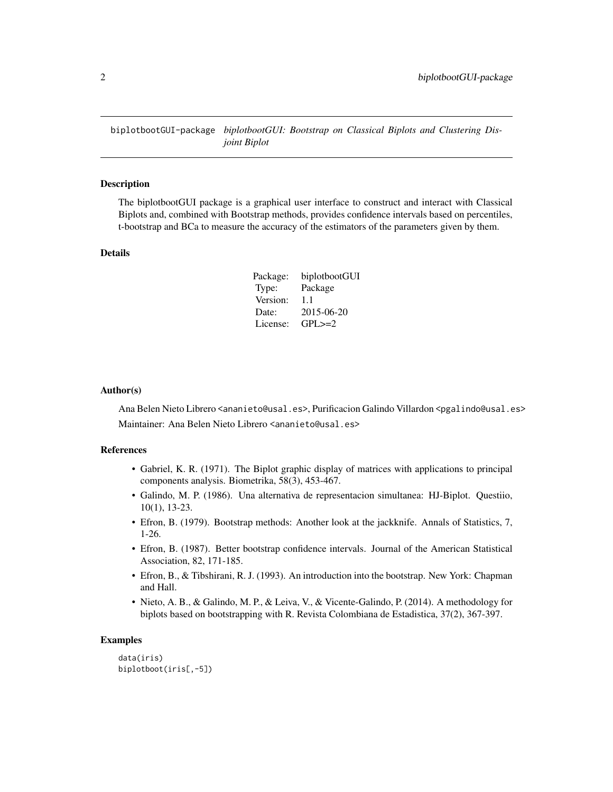<span id="page-1-0"></span>biplotbootGUI-package *biplotbootGUI: Bootstrap on Classical Biplots and Clustering Disjoint Biplot*

#### Description

The biplotbootGUI package is a graphical user interface to construct and interact with Classical Biplots and, combined with Bootstrap methods, provides confidence intervals based on percentiles, t-bootstrap and BCa to measure the accuracy of the estimators of the parameters given by them.

#### Details

| Package: | biplotbootGUI |
|----------|---------------|
| Type:    | Package       |
| Version: | 11            |
| Date:    | 2015-06-20    |
| License: | $GPI \geq 2$  |

#### Author(s)

Ana Belen Nieto Librero <ananieto@usal.es>, Purificacion Galindo Villardon <pgalindo@usal.es> Maintainer: Ana Belen Nieto Librero <ananieto@usal.es>

#### References

- Gabriel, K. R. (1971). The Biplot graphic display of matrices with applications to principal components analysis. Biometrika, 58(3), 453-467.
- Galindo, M. P. (1986). Una alternativa de representacion simultanea: HJ-Biplot. Questiio, 10(1), 13-23.
- Efron, B. (1979). Bootstrap methods: Another look at the jackknife. Annals of Statistics, 7, 1-26.
- Efron, B. (1987). Better bootstrap confidence intervals. Journal of the American Statistical Association, 82, 171-185.
- Efron, B., & Tibshirani, R. J. (1993). An introduction into the bootstrap. New York: Chapman and Hall.
- Nieto, A. B., & Galindo, M. P., & Leiva, V., & Vicente-Galindo, P. (2014). A methodology for biplots based on bootstrapping with R. Revista Colombiana de Estadistica, 37(2), 367-397.

#### Examples

data(iris) biplotboot(iris[,-5])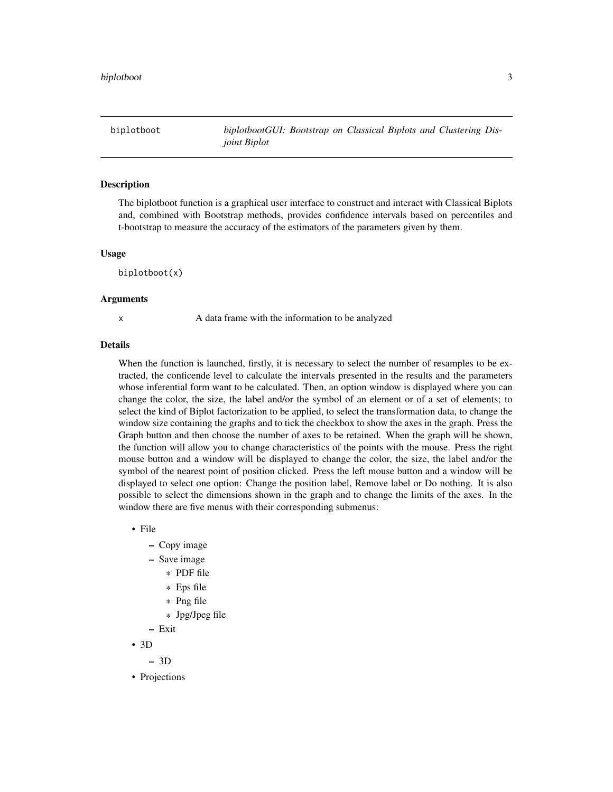<span id="page-2-0"></span>biplotboot *biplotbootGUI: Bootstrap on Classical Biplots and Clustering Disjoint Biplot*

#### **Description**

The biplotboot function is a graphical user interface to construct and interact with Classical Biplots and, combined with Bootstrap methods, provides confidence intervals based on percentiles and t-bootstrap to measure the accuracy of the estimators of the parameters given by them.

#### Usage

biplotboot(x)

#### Arguments

x A data frame with the information to be analyzed

#### Details

When the function is launched, firstly, it is necessary to select the number of resamples to be extracted, the conficende level to calculate the intervals presented in the results and the parameters whose inferential form want to be calculated. Then, an option window is displayed where you can change the color, the size, the label and/or the symbol of an element or of a set of elements; to select the kind of Biplot factorization to be applied, to select the transformation data, to change the window size containing the graphs and to tick the checkbox to show the axes in the graph. Press the Graph button and then choose the number of axes to be retained. When the graph will be shown, the function will allow you to change characteristics of the points with the mouse. Press the right mouse button and a window will be displayed to change the color, the size, the label and/or the symbol of the nearest point of position clicked. Press the left mouse button and a window will be displayed to select one option: Change the position label, Remove label or Do nothing. It is also possible to select the dimensions shown in the graph and to change the limits of the axes. In the window there are five menus with their corresponding submenus:

• File

- Copy image
- Save image
	- \* PDF file
	- \* Eps file
	- \* Png file
	- \* Jpg/Jpeg file
- Exit
- 3D

– 3D

• Projections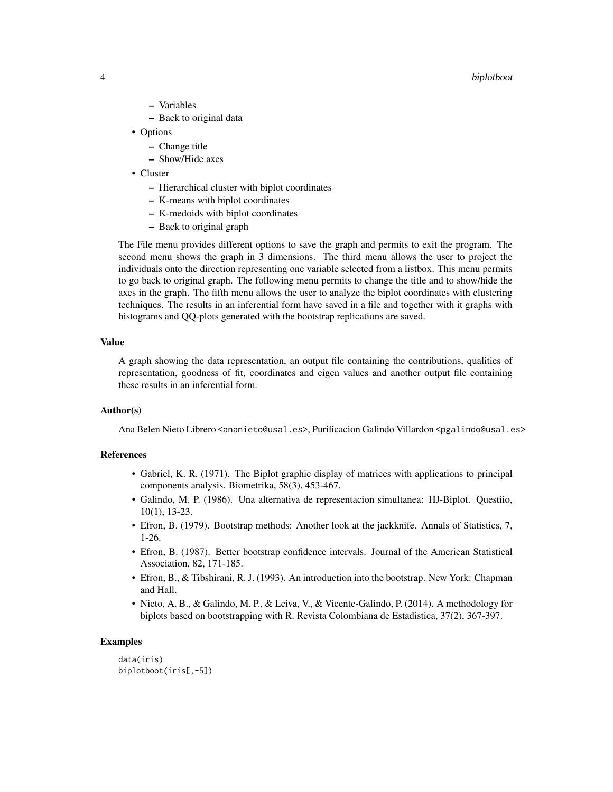#### 4 biplotboot

- Variables
- Back to original data
- Options
	- Change title
	- Show/Hide axes
- Cluster
	- Hierarchical cluster with biplot coordinates
	- K-means with biplot coordinates
	- K-medoids with biplot coordinates
	- Back to original graph

The File menu provides different options to save the graph and permits to exit the program. The second menu shows the graph in 3 dimensions. The third menu allows the user to project the individuals onto the direction representing one variable selected from a listbox. This menu permits to go back to original graph. The following menu permits to change the title and to show/hide the axes in the graph. The fifth menu allows the user to analyze the biplot coordinates with clustering techniques. The results in an inferential form have saved in a file and together with it graphs with histograms and QQ-plots generated with the bootstrap replications are saved.

#### Value

A graph showing the data representation, an output file containing the contributions, qualities of representation, goodness of fit, coordinates and eigen values and another output file containing these results in an inferential form.

#### Author(s)

Ana Belen Nieto Librero <ananieto@usal.es>, Purificacion Galindo Villardon <pgalindo@usal.es>

#### References

- Gabriel, K. R. (1971). The Biplot graphic display of matrices with applications to principal components analysis. Biometrika, 58(3), 453-467.
- Galindo, M. P. (1986). Una alternativa de representacion simultanea: HJ-Biplot. Questiio, 10(1), 13-23.
- Efron, B. (1979). Bootstrap methods: Another look at the jackknife. Annals of Statistics, 7, 1-26.
- Efron, B. (1987). Better bootstrap confidence intervals. Journal of the American Statistical Association, 82, 171-185.
- Efron, B., & Tibshirani, R. J. (1993). An introduction into the bootstrap. New York: Chapman and Hall.
- Nieto, A. B., & Galindo, M. P., & Leiva, V., & Vicente-Galindo, P. (2014). A methodology for biplots based on bootstrapping with R. Revista Colombiana de Estadistica, 37(2), 367-397.

#### Examples

```
data(iris)
biplotboot(iris[,-5])
```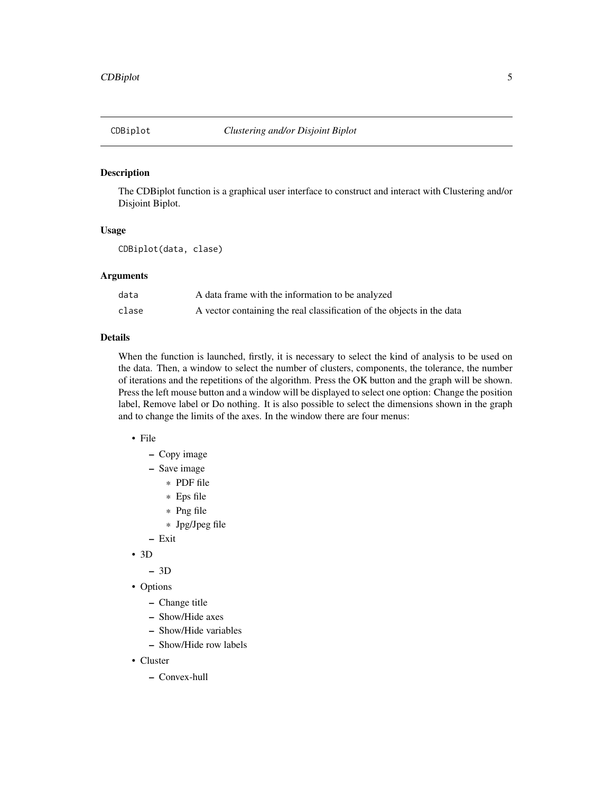<span id="page-4-0"></span>

#### Description

The CDBiplot function is a graphical user interface to construct and interact with Clustering and/or Disjoint Biplot.

#### Usage

CDBiplot(data, clase)

#### Arguments

| data  | A data frame with the information to be analyzed                       |
|-------|------------------------------------------------------------------------|
| clase | A vector containing the real classification of the objects in the data |

#### Details

When the function is launched, firstly, it is necessary to select the kind of analysis to be used on the data. Then, a window to select the number of clusters, components, the tolerance, the number of iterations and the repetitions of the algorithm. Press the OK button and the graph will be shown. Press the left mouse button and a window will be displayed to select one option: Change the position label, Remove label or Do nothing. It is also possible to select the dimensions shown in the graph and to change the limits of the axes. In the window there are four menus:

- File
	- Copy image
	- Save image
		- \* PDF file
		- \* Eps file
		- \* Png file
		- \* Jpg/Jpeg file
	- Exit
- 3D
	- 3D
- Options
	- Change title
	- Show/Hide axes
	- Show/Hide variables
	- Show/Hide row labels
- Cluster
	- Convex-hull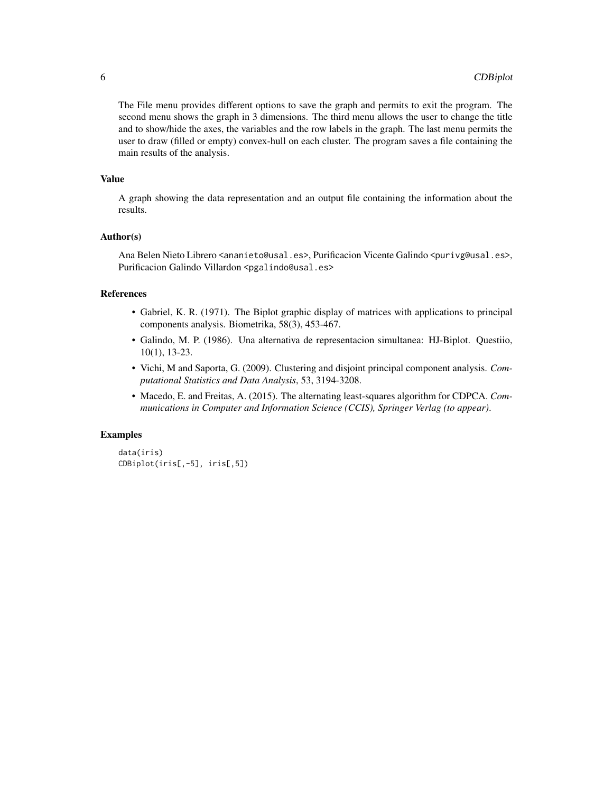The File menu provides different options to save the graph and permits to exit the program. The second menu shows the graph in 3 dimensions. The third menu allows the user to change the title and to show/hide the axes, the variables and the row labels in the graph. The last menu permits the user to draw (filled or empty) convex-hull on each cluster. The program saves a file containing the main results of the analysis.

#### Value

A graph showing the data representation and an output file containing the information about the results.

#### Author(s)

Ana Belen Nieto Librero <ananieto@usal.es>, Purificacion Vicente Galindo <purivg@usal.es>, Purificacion Galindo Villardon <pgalindo@usal.es>

#### References

- Gabriel, K. R. (1971). The Biplot graphic display of matrices with applications to principal components analysis. Biometrika, 58(3), 453-467.
- Galindo, M. P. (1986). Una alternativa de representacion simultanea: HJ-Biplot. Questiio, 10(1), 13-23.
- Vichi, M and Saporta, G. (2009). Clustering and disjoint principal component analysis. *Computational Statistics and Data Analysis*, 53, 3194-3208.
- Macedo, E. and Freitas, A. (2015). The alternating least-squares algorithm for CDPCA. *Communications in Computer and Information Science (CCIS), Springer Verlag (to appear)*.

#### Examples

```
data(iris)
CDBiplot(iris[,-5], iris[,5])
```